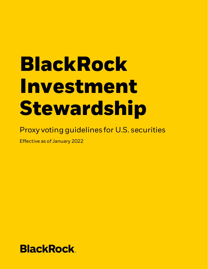# **BlackRock Investment Stewardship**

# Proxy voting guidelines for U.S. securities

Effective as of January 2022

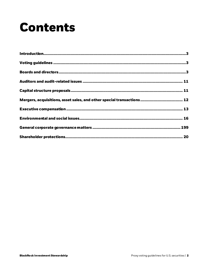# **Contents**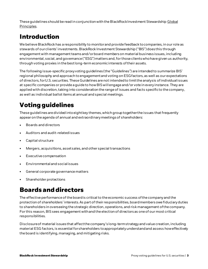These guidelines should be read in conjunction with the BlackRock Investment Stewardship Global [Principles](https://www.blackrock.com/corporate/literature/fact-sheet/blk-responsible-investment-engprinciples-global.pdf).

# **Introduction**

We believe BlackRock has a responsibility to monitor and provide feedback to companies, in our role as stewards of our clients' investments. BlackRock Investment Stewardship ("BIS") does this through engagement with management teams and/or board members on material business issues, including environmental, social, and governance ("ESG") matters and, for those clients who have given us authority, through voting proxies in the best long-term economic interests of their assets.

The following issue-specific proxy voting guidelines (the "Guidelines") are intended to summarize BIS' regional philosophy and approach to engagement and voting on ESG factors, as well as our expectations of directors, for U.S. securities. These Guidelinesare not intended to limit the analysis of individual issues at specific companies or provide a guide to how BIS will engage and/or vote in every instance. They are applied with discretion, taking into consideration the range of issues and facts specific to the company, as well as individual ballot items at annual and special meetings.

# **Voting guidelines**

Theseguidelines are divided into eight key themes, which group together the issues that frequently appear on the agenda of annual and extraordinary meetings of shareholders:

- $\bullet$  Boards and directors
- Auditors and audit-related issues
- Capital structure
- Mergers, acquisitions, asset sales, and other special transactions
- Executive compensation
- Environmental and social issues
- General corporate governance matters
- Shareholder protections

# **Boards and directors**

The effective performance of the board is critical to the economic success of the company and the protection of shareholders' interests. As part of their responsibilities, board members owe fiduciary duties to shareholders in overseeing the strategic direction, operations, and risk management of the company. For this reason, BISsees engagement withand the election of directors as one of our most critical responsibilities.

Disclosure of material issues that affect the company's long-term strategy and value creation, including material ESG factors, is essential for shareholders to appropriately understand and assess how effectively the board is identifying, managing, and mitigating risks.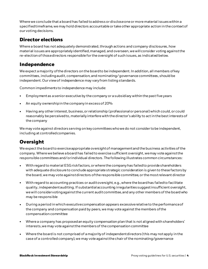Where we conclude that a board has failed to address or disclose one or more material issues within a specified timeframe, we may hold directors accountable or take other appropriate actionin the context of our voting decisions.

#### **Director elections**

Where a board has not adequately demonstrated, through actions and company disclosures, how material issues are appropriately identified, managed, and overseen, we will consider voting againstthe re-election of those directors responsible for the oversight of such issues, as indicated below.

#### **Independence**

We expect a majority of the directors on the board to be independent. In addition, all members of key committees, including audit, compensation, and nominating/ governance committees, should be independent. Our view of independence may vary from listing standards.

Common impediments to independence may include:

- Employmentas a senior executive by the company or a subsidiary within the past five years
- An equity ownership in the company in excess of 20%
- Having any other interest, business, or relationship (professional or personal) which could, or could reasonably be perceived to, materially interfere with the director's ability to act in the best interests of the company

We may vote against directors serving on key committees whowe do not consider to be independent, including at controlled companies.

#### **Oversight**

We expect the board to exercise appropriate oversight of management and the business activities of the company. Where we believe a board has failed to exercise sufficient oversight, we may vote against the responsible committees and/or individual directors. The following illustrates common circumstances:

- With regard to material ESG risk factors, or where the company has failed to provide shareholders with adequate disclosure to conclude appropriate strategic consideration is given to these factors by the board, we may vote against directors of the responsible committee, or the most relevant director
- With regard to accounting practices or audit oversight, e.g., where the board has failed to facilitate quality, independent auditing. If substantial accounting irregularities suggest insufficient oversight, we will consider voting against the current audit committee, and any other members of the board who may be responsible
- During a period in which executive compensation appears excessive relative to the performance of the company and compensation paid by peers, we may vote against the members of the compensation committee
- Where a company has proposed an equity compensation plan that is not aligned with shareholders' interests, we may vote against the members of the compensation committee
- Where the board is not comprised of a majority of independent directors (this may not apply in the case of a controlled company), we may vote against the chair of the nominating/governance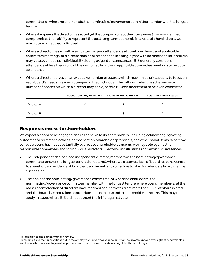committee, or where no chair exists, the nominating/governance committee member with the longest tenure

- Where it appears the director has acted (at the company or at other companies) in a manner that compromises theirabilityto represent the best long-term economic interests of shareholders, we may vote against that individual
- Where a director has a multi-year pattern of poor attendance at combined board and applicable committee meetings, or a director has poor attendance in a single year with no disclosed rationale, we may vote against that individual. Excluding exigent circumstances, BISgenerally considers attendance at less than 75% of the combined board and applicable committee meetings to be poor attendance
- Where a director serves on an excessivenumber of boards, which may limit their capacity to focus on each board's needs, we may vote against that individual. The followingidentifiesthe maximum number of boards on which a director may serve, before BIS considers them to be over-committed:

|                         | <b>Public Company Executive</b> | # Outside Public Boards <sup>1</sup> | <b>Total # of Public Boards</b> |
|-------------------------|---------------------------------|--------------------------------------|---------------------------------|
| Director A              |                                 |                                      |                                 |
| Director $\mathsf{B}^2$ |                                 | ੨                                    |                                 |

#### **Responsiveness to shareholders**

We expect a board to be engaged and responsive to its shareholders, including acknowledging voting outcomes for director elections, compensation, shareholder proposals, and other ballot items. Where we believe a board has not substantially addressed shareholder concerns, we may vote against the responsible committees and/or individual directors. The following illustrates common circumstances:

- The independent chair or lead independent director, members of the nominating/governance committee, and/or the longest tenured director(s), where we observe a lack of board responsiveness to shareholders, evidence of board entrenchment, and/or failure to plan for adequate board member succession
- The chair of the nominating/governance committee, or where no chair exists, the nominating/governance committee member with the longest tenure, where board member(s) at the most recent election of directorshave received againstvotes from more than 25% of shares voted, and the board has not taken appropriate action to respond to shareholder concerns. This may not apply in cases where BISdid not support the initial against vote

 $<sup>1</sup>$  In addition to the company under review.</sup>

<sup>&</sup>lt;sup>2</sup> Including fund managers whose full-time employment involves responsibility for the investment and oversight of fund vehicles, and those who have employment as professional investors and provide oversight for those holdings.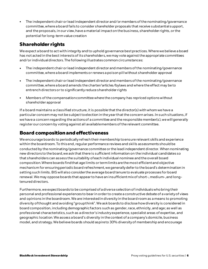The independent chair or lead independent director and/or members of the nominating/governance committee, where a board fails to consider shareholder proposals that receive substantial support, and the proposals, in our view, have a material impact on the business, shareholder rights, or the potential for long-term value creation

#### **Shareholder rights**

We expect a board to act with integrity and to uphold governance best practices. Where we believe a board has not acted in the best interests of its shareholders, we may vote against the appropriate committees and/or individual directors. The following illustrates common circumstances:

- The independent chair or lead independent director and members of the nominating/governance committee, where a board implements or renews a poison pill without shareholder approval
- The independent chair or lead independent director and members of the nominating/governance committee, where a board amends the charter/articles/bylaws and where the effect may be to entrench directors orto significantly reduce shareholder rights
- Members of the compensation committee where the company has repriced options without shareholder approval

If a board maintains a classified structure, it is possible that the director(s) with whom we have a particular concern may not be subject to election in the year that the concern arises. In such situations, if we have a concern regarding the actions of a committee and the responsible member(s), we will generally register our concern by voting against all available members of the relevant committee.

#### **Board composition and effectiveness**

We encourage boards to periodically refresh their membership to ensure relevant skills and experience within the boardroom. To this end, regular performance reviews and skills assessments should be conducted by the nominating/governance committee or the lead independent director. When nominating new directors to the board, we ask that there is sufficient information on the individual candidatesso that shareholders can assess the suitability of each individual nominee and the overall board composition.Where boards find that age limits or term limits are the most efficient and objective mechanism for ensuring periodic board refreshment, we generally defer to the board's determination in setting such limits. BIS will also consider the average board tenure to evaluate processes for board renewal. We may oppose boards that appear to have an insufficient mix of short-, medium-, and longtenured directors.

Furthermore, we expect boards to be comprised of a diverse selection of individuals who bring their personal and professional experiences to bear in order to create a constructive debate of a variety of views and opinions in the boardroom. We are interested in diversity in the board room as a means to promoting diversity of thought and avoiding "group think". We ask boards to disclose how diversity is considered in board composition, including demographic factors such as gender, race, ethnicity, and age; as well as professional characteristics, such as a director's industry experience, specialist areas of expertise, and geographic location. We assess a board's diversity in the context of a company's domicile, business model, and strategy. We believe boards should aspireto 30% diversity of membership and encourage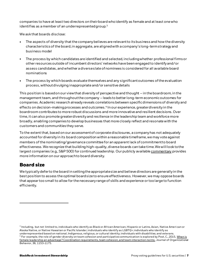companies to have at least two directors on their board who identify as female and at least one who identifies as a member of an underrepresented group.<sup>3</sup>

We ask that boards disclose:

- The aspects of diversity that the company believes are relevant to its business and how the diversity characteristics of the board, in aggregate, are aligned with a company's long-term strategy and business model
- The process by which candidates are identified and selected, including whether professional firms or other resources outside of incumbent directors' networks have been engaged to identify and/or assess candidates, and whether a diverse slate of nominees is considered for all available board nominations
- The process by which boards evaluate themselves and any significant outcomes of the evaluation process, without divulging inappropriate and/or sensitive details

This position is based on our view that diversity of perspective and thought – in the boardroom, in the management team, and throughout the company – leads to better long-term economic outcomes for companies. Academic research already reveals correlations between specific dimensions of diversity and effects on decision-making processes and outcomes.<sup>4</sup> In our experience, greater diversity in the boardroom contributes to more robust discussions and more innovative and resilient decisions. Over time, it can also promote greater diversity and resilience in the leadership team and workforce more broadly, enabling companies to develop businesses that more closely reflect and resonate with the customers and communities they serve.

To the extent that, based on our assessment of corporate disclosures, a company has not adequately accounted for diversity in its board composition within a reasonable timeframe, we may vote against members of the nominating/governance committee for an apparent lack of commitment to board effectiveness. We recognize that building high-quality, diverse boards can take time. We will look to the largest companies (e.g., S&P 500) for continued leadership. Our publicly availabl[e commentary](https://www.blackrock.com/corporate/literature/publication/blk-commentary-engaging-on-diversity.pdf) provides more information on our approachto board diversity.

#### **Board size**

We typically defer to the board in setting the appropriate size and believe directors are generally in the best position to assess the optimal board size to ensure effectiveness. However, we may oppose boards that appear too small to allow for the necessary range of skills and experience or too large to function efficiently.

<sup>&</sup>lt;sup>3</sup> Including, but not limited to, individuals who identify as Black or African American, Hispanic or Latinx, Asian, Native Ameri can or Alaska Native, or Native Hawaiian or Pacific Islander; individuals who identify as LGBTQ+; individuals who identify as underrepresented based on national, Indigenous, religious, or cultural identity; individuals with disabilities; and veterans.

<sup>&</sup>lt;sup>4</sup> For example, the role of gender diversity on team cohesion and participative communication is explored by Post, C., 2015, When is [female leadership an advantage? Coordination requirements, team cohesion, and team interaction norms,](http://dx.doi.org/10.1002/job.2031) Journal of Organizational Behavior, 36, 1153-1175.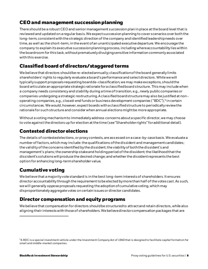#### **CEO and management succession planning**

There should be a robust CEO and senior management succession plan in place at the board level that is reviewed and updated on a regular basis. We expect succession planning to cover scenarios over both the long-term, consistent with the strategic direction of the company and identified leadership needs over time, as well as the short-term, in the event of an unanticipated executive departure. We encourage the company to explain its executive succession planning process, including where accountability lies within the boardroom for this task, without prematurely divulging sensitive information commonly associated with this exercise.

#### **Classified board of directors/staggered terms**

We believe that directors should be re-elected annually; classification of the board generally limits shareholders' rights to regularly evaluate a board's performance and select directors. While we will typically support proposals requesting board de-classification, we may make exceptions, should the board articulate an appropriate strategic rationale for a classified board structure. This may include when a company needs consistency and stability during a time of transition, e.g., newly public companies or companies undergoing a strategic restructuring. A classified board structure may also be justified at nonoperating companies, e.g., closed-end funds or business development companies ("BDC"),<sup>5</sup> in certain circumstances. We would, however, expect boards with a classified structure to periodically review the rationale for such structure and consider when annual elections might be more appropriate.

Without a voting mechanism to immediately address concerns about a specific director, we may choose to vote against the directors up for election at the time (see "Shareholderrights" for additional detail).

#### **Contested director elections**

The details of contested elections, or proxy contests, are assessed on a case-by-case basis. We evaluate a number of factors, which may include: the qualifications of the dissident and management candidates; the validity of the concerns identified by the dissident; the viability of both the dissident's and management's plans; the ownership stake and holding period of the dissident; the likelihood that the dissident's solutions will produce the desired change; and whether the dissident represents the best option for enhancing long-term shareholder value.

#### **Cumulative voting**

Webelieve that a majority vote standard is in the best long-term interestsof shareholders. It ensures director accountability through the requirement to be elected by more than half of the votes cast. As such, we will generally oppose proposals requesting the adoption of cumulative voting, which may disproportionately aggregate votes on certain issues or director candidates.

#### **Director compensation and equity programs**

We believe that compensation for directors should be structured to attract and retain directors, while also aligning their interests with those of shareholders. We believe director compensation packages that are

<sup>5</sup>A BDC is a special investment vehicle under the Investment Company Act of 1940 that is designed to facilitate capital formati on for small and middle-market companies.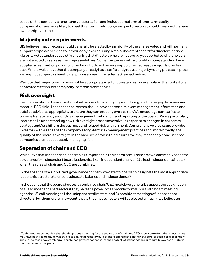based on the company's long-term value creation and include some form of long-term equity compensation are more likely to meet this goal. In addition, we expect directors to build meaningful share ownership over time.

#### **Majority vote requirements**

BISbelieves that directors should generally be elected by a majority of the shares voted and willnormally support proposals seeking to introduce bylaws requiring a majority vote standard for director elections. Majority vote standards assist in ensuring that directors who are not broadly supported by shareholders are not elected to serve as their representatives. Some companies with a plurality voting standard have adopted a resignation policy for directors who do not receive support from at least a majority of votes cast. Where we believe that the company already has a sufficiently robust majority voting process in place, we may not support a shareholder proposal seeking an alternative mechanism.

We note that majority voting may not be appropriate in all circumstances, for example, in the context of a contested election, or for majority-controlled companies.

#### **Risk oversight**

Companies should have an established process for identifying, monitoring, and managing business and material ESG risks. Independent directors should have access to relevant management information and outside advice, as appropriate, to ensure they can properly oversee risk. We encourage companies to provide transparency around risk management, mitigation, and reporting to the board. We are particularly interested in understanding how risk oversight processes evolve in response to changes in corporate strategy and/or shifts in the business and related risk environment.Comprehensive disclosure provides investors with a sense of the company's long-term risk management practices and, more broadly, the quality of the board's oversight. In the absence of robust disclosures, we may reasonably conclude that companies are not adequately managing risk.

#### **Separation of chair and CEO**

We believe that independent leadership is important in the boardroom. There are two commonly accepted structures for independent board leadership: 1) an independent chair; or 2) a lead independent director when the roles of chair and CEO are combined.

In the absence of a significant governance concern, we defer to boards to designate the most appropriate leadership structure to ensure adequate balance and independence.<sup>6</sup>

In the event that the board chooses a combined chair/CEO model, we generally support the designation of a lead independent director if they have the power to: 1) provide formal input into board meeting agendas; 2) call meetings of the independent directors; and 3) preside at meetings of independent directors. Furthermore, while we anticipate that most directors will be elected annually, we believe an

 $6$  To this end, we do not view shareholder proposals asking for the separation of chair and CEO to be a proxy for other concerns we may have at the company for which a vote against directors would be more appropriate. Rather, support for such a proposal might arise in the case of overarching and sustained governance concerns such as lack of independence or failure to oversee a material risk over consecutive years.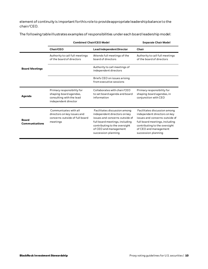element of continuity is important for this role to provide appropriate leadership balance to the chair/CEO.

The following table illustrates examples of responsibilities under each board leadership model:

|                                       | <b>Combined Chair/CEO Model</b>                                                                          | <b>Separate Chair Model</b>                                                                                                                                                                                       |                                                                                                                                                                                                                   |
|---------------------------------------|----------------------------------------------------------------------------------------------------------|-------------------------------------------------------------------------------------------------------------------------------------------------------------------------------------------------------------------|-------------------------------------------------------------------------------------------------------------------------------------------------------------------------------------------------------------------|
|                                       | Chair/CEO                                                                                                | <b>Lead Independent Director</b>                                                                                                                                                                                  | Chair                                                                                                                                                                                                             |
| <b>Board Meetings</b>                 | Authority to call full meetings<br>of the board of directors                                             | Attends full meetings of the<br>board of directors                                                                                                                                                                | Authority to call full meetings<br>of the board of directors                                                                                                                                                      |
|                                       |                                                                                                          | Authority to call meetings of<br>independent directors                                                                                                                                                            |                                                                                                                                                                                                                   |
|                                       |                                                                                                          | Briefs CEO on issues arising<br>from executive sessions                                                                                                                                                           |                                                                                                                                                                                                                   |
| Agenda                                | Primary responsibility for<br>shaping board agendas,<br>consulting with the lead<br>independent director | Collaborates with chair/CEO<br>to set board agenda and board<br>information                                                                                                                                       | Primary responsibility for<br>shaping board agendas, in<br>conjunction with CEO                                                                                                                                   |
| <b>Board</b><br><b>Communications</b> | Communicates with all<br>directors on key issues and<br>concerns outside of full board<br>meetings       | Facilitates discussion among<br>independent directors on key<br>issues and concerns outside of<br>full board meetings, including<br>contributing to the oversight<br>of CEO and management<br>succession planning | Facilitates discussion among<br>independent directors on key<br>issues and concerns outside of<br>full board meetings, including<br>contributing to the oversight<br>of CEO and management<br>succession planning |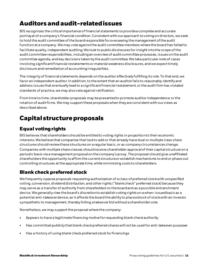# **Auditors and audit-related issues**

BIS recognizes the critical importance of financial statements toprovide a complete and accurate portrayal of a company's financial condition. Consistent with our approach to voting on directors, we seek to hold the audit committee of the board responsible for overseeing the management of the audit function at a company. We may vote against the audit committee members where the board has failed to facilitate quality, independent auditing. We look to public disclosures for insight into the scope of the audit committee responsibilities, including an overview of audit committee processes, issues on the audit committee agenda, and key decisions taken by the audit committee. We take particular note of cases involving significant financial restatements or material weakness disclosures, and we expect timely disclosure and remediation of accounting irregularities.

The integrity of financial statements depends on the auditor effectively fulfilling its role. To that end, we favor an independent auditor. In addition, to the extent that an auditor fails to reasonably identify and address issues that eventually lead to a significant financial restatement, or the audit firm has violated standards of practice, we may also vote against ratification.

From time to time, shareholder proposals may be presented to promote auditor independence or the rotation of audit firms. We may support these proposals when they are consistent with our views as described above.

## **Capital structureproposals**

#### **Equal voting rights**

BISbelieves that shareholders should be entitled to voting rights in proportion to their economic interests. We believe that companies that look to add or that already have dual or multiple class share structures should review these structures on a regular basis,or as company circumstances change. Companies with multiple share classes should receive shareholder approval of their capital structure on a periodic basis via a management proposal on the company's proxy. The proposal should give unaffiliated shareholders the opportunity to affirm the current structure or establish mechanisms to end or phase out controlling structures at the appropriate time, while minimizing costs to shareholders.

#### **Blank check preferred stock**

We frequently oppose proposals requesting authorization of a class of preferred stock with unspecified voting, conversion, dividend distribution, and other rights ("blank check" preferred stock) because they may serve as a transfer of authority from shareholders to the board and as a possible entrenchment device. We generally view the board's discretion to establish voting rights on a when-issued basis as a potential anti-takeover device, as it affords the board the ability to place a block of stock with an investor sympathetic to management, thereby foiling a takeover bid without a shareholder vote.

Nonetheless, we may support the proposal where the company:

- Appears to have a legitimate financing motive for requesting blank check authority
- Has committed publicly that blank check preferred shares will not be used for anti-takeover purposes
- Has a history of using blank check preferred stock for financings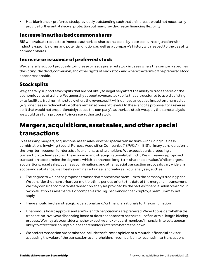• Has blank check preferred stock previously outstanding such that an increase would not necessarily provide further anti-takeover protection but may provide greater financing flexibility

#### **Increase in authorized common shares**

BIS will evaluate requests to increase authorized shares on a case-by-case basis, in conjunction with industry-specific norms and potential dilution, as well as a company's history with respect to the use of its common shares.

#### **Increase or issuance of preferred stock**

We generally support proposals to increase or issue preferred stock in cases where the company specifies the voting, dividend, conversion,and other rights of such stock and where the terms of the preferred stock appear reasonable.

#### **Stock splits**

We generally support stock splits that are not likely to negatively affect the ability to trade shares or the economic value of a share. We generally support reverse stock splits that are designed to avoid delisting or to facilitate trading in the stock, where the reverse split will not have a negative impact on share value (e.g., one class is reduced while others remain at pre-split levels). In the event of a proposal for a reverse split that would not proportionately reduce the company's authorized stock, we apply the same analysis we would use for a proposal to increase authorized stock.

# **Mergers, acquisitions, asset sales, and other special transactions**

In assessing mergers, acquisitions, asset sales, or other special transactions – including business combinations involving Special Purpose Acquisition Companies ("SPACs") – BIS' primary consideration is the long-term economic interests of our clients as shareholders. We expect boards proposing a transaction to clearly explain the economic and strategic rationale behind it. We will review a proposed transaction to determine the degree to which it enhances long-term shareholder value. While mergers, acquisitions, asset sales, business combinations, and other special transaction proposals vary widely in scope and substance, we closely examine certain salient features in our analyses, such as:

- The degree to which the proposed transaction represents a premium to the company's trading price. We consider the share price over multiple time periods prior to the date of the merger announcement. We may consider comparable transaction analyses provided by the parties' financial advisors and our own valuation assessments. For companies facing insolvency or bankruptcy, a premium may not apply
- There should be clear strategic, operational, and/or financial rationale for the combination
- Unanimous board approval and arm's-length negotiations are preferred. We will consider whether the transaction involves a dissenting board or does not appear to be the result of an arm's-length bidding process. We may also consider whether executive and/or board members' financial interests appear likely to affect their ability to place shareholders' interests before their own
- We prefer transaction proposals that include the fairness opinion of a reputable financial advisor assessing the value of the transaction to shareholders in comparison to recent similar transactions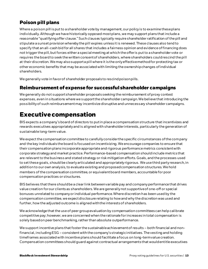#### **Poison pill plans**

Where a poison pill is put to a shareholder vote by management, our policy is to examine these plans individually. Although we have historically opposed most plans, we may support plans that include a reasonable "qualifying offer clause." Such clauses typically require shareholder ratification of the pill and stipulate a sunset provision whereby the pill expires unless it is renewed. These clauses also tend to specify that an all-cash bid for all shares that includes a fairness opinion and evidence of financing does not trigger the pill, but forces either a special meeting at which the offer is put to a shareholder vote or requires the board to seek the written consent of shareholders, where shareholders could rescind the pill at their discretion. We may also support a pill where it is the only effective method for protecting tax or other economic benefits that may be associated with limiting the ownership changes of individual shareholders.

We generally vote in favor of shareholder proposals to rescind poison pills.

#### **Reimbursement of expense for successful shareholder campaigns**

We generally do not support shareholder proposals seeking the reimbursement of proxy contest expenses, even in situations where we support the shareholder campaign. We believe that introducing the possibility of such reimbursement may incentivize disruptive and unnecessary shareholder campaigns.

#### **Executive compensation**

BISexpects a company's board of directors to put in place a compensation structure that incentivizes and rewards executives appropriately and is aligned with shareholder interests, particularly the generationof sustainable long-term value.

We expect the compensation committee to carefully consider the specific circumstances of the company and the key individuals the board is focused on incentivizing. We encourage companies to ensure that their compensation plans incorporate appropriate and rigorous performance metrics consistent with corporate strategy and market practice. Performance-based compensation should include metrics that are relevant to the business and stated strategy or risk mitigation efforts. Goals, and the processes used to set these goals, should be clearly articulated and appropriately rigorous. We use third party research, in addition to our own analysis, to evaluate existing and proposed compensation structures. We hold members of the compensation committee, or equivalent board members, accountable for poor compensation practices or structures.

BISbelieves that there should be a clear link between variable pay and company performance that drives value creation for our clients as shareholders. We are generally not supportive of one-off or special bonuses unrelated to company or individual performance. Where discretion has been used by the compensation committee, we expect disclosure relating to how and why the discretion was used and further, how the adjusted outcome is aligned with the interests of shareholders.

We acknowledge that the use of peer group evaluation by compensation committees can help calibrate competitive pay; however, we are concerned when the rationale for increases in total compensation is solely based on peer benchmarking, rather than absolute outperformance.

We support incentive plans that foster the sustainable achievement of results – both financial and nonfinancial, including ESG – consistent with the company's strategic initiatives. The vesting and holding timeframes associated with incentive plans should facilitate a focus on long-term value creation. Compensation committees should guard against contractual arrangements that would entitle executives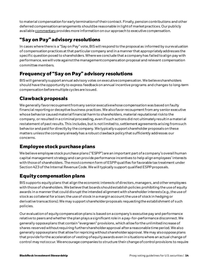to material compensation for early termination of their contract. Finally, pension contributions and other deferred compensation arrangements should be reasonable in light of market practices. Our publicly availabl[e commentary](https://www.blackrock.com/corporate/literature/publication/blk-commentary-engagement-on-incentives-aligned-with-value-creation.pdf) provides more information on our approach to executive compensation.

#### **"Say on Pay" advisory resolutions**

In cases where there is a "Say on Pay" vote, BISwill respond to the proposal as informed by our evaluation of compensation practices at that particular company and in a manner that appropriately addresses the specific question posed to shareholders. Where we conclude that a company has failed to align pay with performance, we will vote against the management compensation proposal and relevant compensation committee members.

#### **Frequency of "Say on Pay" advisory resolutions**

BISwill generally support annual advisory votes on executive compensation. We believe shareholders should have the opportunity to express feedbackon annual incentive programs and changes to long-term compensation before multiple cycles are issued.

#### **Clawback proposals**

We generally favor recoupment from any senior executive whose compensation was based on faulty financial reporting or deceptive business practices. We also favor recoupment from any senior executive whose behavior caused materialfinancial harm to shareholders, material reputational risk to the company, or resulted in a criminal proceeding, even if such actions did not ultimately result in a material restatement of past results. This includes, but is not limited to, settlement agreements arising from such behavior and paid for directly by the company. We typically support shareholder proposals on these matters unless the company already has a robust clawback policy that sufficiently addresses our concerns.

#### **Employee stock purchase plans**

We believe employee stock purchase plans ("ESPP") are an important part of a company's overall human capital management strategy and can provide performance incentives to help align employees' interests with those of shareholders. The most common form of ESPPqualifies for favorable tax treatment under Section 423 of the Internal Revenue Code. Wewill typically support qualified ESPP proposals.

#### **Equity compensation plans**

BIS supports equity plans that align the economic interests of directors, managers, and other employees with those of shareholders. We believe that boards should establish policies prohibiting the use of equity awards in a manner that could disrupt the intended alignment with shareholder interests (e.g., the use of stock as collateral for a loan; the use of stock in a margin account; the use of stock in hedging or derivative transactions). We may support shareholder proposals requesting the establishment of such policies.

Our evaluation of equity compensation plans is based on a company's executive pay and performance relative to peers and whether the plan plays a significant role in a pay-for-performance disconnect. We generally oppose plans that contain "evergreen" provisions, which allow for the unlimited increase of shares reserved without requiring further shareholder approval after a reasonable time period. We also generally oppose plans that allow for repricing without shareholder approval. We may also oppose plans that provide for the acceleration of vesting of equity awards even in situations where an actual change of control may not occur. We encourage companies to structure their change of control provisions to require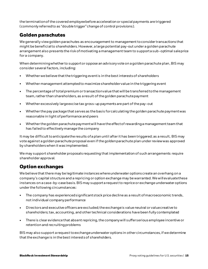the termination of the covered employee before acceleration or special payments are triggered (commonly referred to as "double trigger" change of control provisions).

#### **Golden parachutes**

We generally view golden parachutes as encouragement to management to consider transactions that might be beneficial to shareholders. However, a large potential pay-out under a golden parachute arrangement also presents the risk of motivating a management team to support a sub-optimal sale price for a company.

When determining whether to support or oppose an advisory vote on a golden parachute plan, BISmay consider several factors, including:

- Whether we believe that the triggering event is in the best interests of shareholders
- Whether management attempted to maximize shareholder value in the triggering event
- The percentage of total premium or transaction value that will be transferred to the management team, rather than shareholders, as a result of the golden parachute payment
- Whether excessively large excise tax gross-up payments are part of the pay-out
- Whether the pay package that serves as the basis for calculating the golden parachute payment was reasonable inlight of performance and peers
- Whether the golden parachute payment will have the effect of rewarding a management team that has failed to effectively manage the company

It may be difficult to anticipate the results of a plan until after it has been triggered; as a result, BISmay vote against a golden parachute proposal even if the golden parachute plan under review was approved by shareholders when it was implemented.

Wemay support shareholder proposals requesting that implementation of such arrangements require shareholder approval.

#### **Option exchanges**

We believe that there may be legitimate instances where underwater options create an overhang on a company's capital structure and a repricing or option exchange may be warranted. We will evaluate these instances on a case-by-case basis. BISmay support a request to reprice or exchange underwater options under the following circumstances:

- The company has experienced significant stock price decline as a result of macroeconomic trends, not individual company performance
- Directors and executive officers are excluded; the exchange is value neutral or value creative to shareholders; tax, accounting, and other technical considerations have been fully contemplated
- There is clear evidence that absent repricing, the company will suffer serious employee incentive or retention and recruiting problems

BISmay also support a request to exchange underwater options in other circumstances, if we determine that the exchange is in the best interestsof shareholders.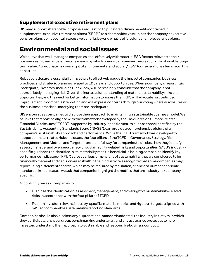#### **Supplemental executive retirement plans**

BISmay support shareholder proposals requesting to put extraordinary benefits contained in supplemental executive retirement plans ("SERP") to a shareholder vote unless the company's executive pension plans do not contain excessive benefits beyond what is offered under employee-wide plans.

### **Environmental and social issues**

We believe that well-managed companies deal effectively with material ESG factors relevant to their businesses. Governance is the core means by which boards can oversee the creation of sustainable longterm value. Appropriate risk oversight of environmental and social ("E&S") considerations stems from this construct.

Robust disclosure is essential for investors to effectively gauge the impact of companies' business practices and strategic planning related to E&S risks and opportunities. When a company's reporting is inadequate, investors, including BlackRock, will increasingly conclude that the company is not appropriately managing risk. Given the increased understanding of material sustainability risks and opportunities, and the need for better information to assess them, BIS will advocate for continued improvement in companies' reporting and will express concerns through our voting where disclosures or the business practices underlying them are inadequate.

BISencourages companies to disclosetheir approach to maintaining a sustainable business model. We believe that reporting aligned with the framework developed by the Task Force on Climate-related Financial Disclosures ("TCFD"), supported by industry-specific metrics such as those identified by the Sustainability Accounting Standards Board ("SASB"), can provide a comprehensive picture of a company's sustainability approach and performance. While the TCFD framework was developed to support climate-related risk disclosure, the four pillars of the TCFD – Governance, Strategy, Risk Management, and Metrics and Targets  $-$  are a useful way for companies to disclose how they identify, assess, manage, and oversee a variety of sustainability-related risks and opportunities. SASB's industryspecific guidance (as identified in its materiality map) is beneficial in helping companies identify key performance indicators ("KPIs") across various dimensions of sustainability that are considered to be financially material and decision-useful within their industry. We recognize that some companies may report using different standards, which may be required by regulation, or one of a number of private standards. In such cases, we ask that companies highlight the metrics that are industry- or companyspecific.

Accordingly, we ask companies to:

- Disclose the identification, assessment, management, and oversight of sustainability-related risks in accordance with the four pillars of TCFD
- Publish investor-relevant, industry-specific, material metrics and rigorous targets, aligned with SASB or comparable sustainability reporting standards

Companies should also disclose any supranational standards adopted, the industry initiatives in which they participate, any peer group benchmarking undertaken, and any assurance processes to help investors understand their approach to sustainable and responsible business conduct.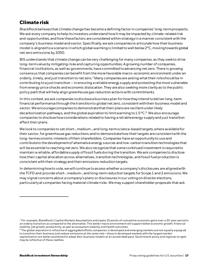#### **Climate risk**

BlackRock believes that climate change has become a defining factor in companies' long-term prospects. We ask every company to help its investors understand how it may be impacted by climate-related risk and opportunities, and how these factors are considered within strategy in a manner consistent with the company's business model and sector. Specifically, we ask companies to articulate how their business model is aligned to a scenario in which global warming is limited to well below 2°C, moving towards global net zero emissions by 2050.

BIS understands that climate change can be very challenging for many companies, as they seek to drive long-term value by mitigating risks and capturing opportunities. A growing number of companies, financial institutions, as well as governments, have committed to advancing net zero. There is growing consensus that companies can benefit from the more favorable macro-economic environment under an orderly, timely, and just transition to net zero.<sup>7</sup> Many companies are asking what their role should be in contributing to a just transition – in ensuring a reliable energy supply and protecting the most vulnerable from energy price shocks and economic dislocation. They are also seeking more clarity as to the public policy path that will help align greenhouse gas reduction actions with commitments.

In this context, we ask companies to disclose a business plan for how they intend to deliver long-term financial performance through the transition to global net zero, consistent with their business model and sector. We encourage companies to demonstrate that their plans are resilient under likely decarbonization pathways, and the global aspiration to limit warming to  $1.5^{\circ}$ C.<sup>8</sup> We also encourage companies to disclose how considerations related to having a reliable energy supply and just transition affect their plans.

We look to companies to set short-, medium-, and long-term science-based targets, where available for their sector, for greenhouse gas reductions and to demonstrate how their targets are consistent with the long-term economic interests of their shareholders. Companies have an opportunity to use and contribute to the development of alternative energy sources and low-carbon transition technologies that will be essential to reaching net zero. We also recognize that some continued investment is required to maintain a reliable, affordable supply of fossil fuels during the transition. We ask companies to disclose how their capital allocation across alternatives, transition technologies, and fossil fuel production is consistent with their strategy and their emissions reduction targets.

In determining how to vote, we will continue to assess whether a company's disclosures are aligned with the TCFD and provide short-, medium-, and long-term reduction targets for Scope 1 and 2 emissions. We may signal concerns about a company's plans or disclosures in our voting on director elections, particularly at companies facing material climate risks. We may support shareholder proposals that ask

 $^7$  For example, BlackRock's Capital Markets Assumptions anticipate 25 points of cumulative economic gains over a 20-year period in an orderly transition as compared to the alternative. This better macro environment will support better economic growth, financial stability, job growth, productivity, as well as ecosystem stability and health outcomes.

<sup>8</sup> The global aspiration is reflective of aggregated efforts; companies in developed and emerging markets are not equally equipped to transition their business and reduce emissions at the same rate—those in developed markets with the largest market capitalization are better positioned to adapt their business models at an accelerated pace. Government policy and regional ta rgets may be reflective of these realities.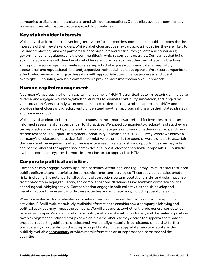companies to disclose climate plans aligned with our expectations. Our publicly availabl[e commentary](https://www.blackrock.com/corporate/literature/publication/blk-commentary-climate-risk-and-energy-transition.pdf) provides more information on our approach to climate risk.

#### **Key stakeholder interests**

We believe that in order to deliver long-term value for shareholders, companies should also consider the interests of their key stakeholders. While stakeholder groups may vary across industries, they are likely to include employees; business partners (such as suppliers and distributors); clients and consumers; government and regulators; and the communities in which a company operates.Companies that build strong relationships with their key stakeholders are more likely to meet their own strategic objectives, while poor relationships may create adverse impacts that expose a company tolegal, regulatory, operational, and reputational risksand jeopardize their social license to operate. We expect companies to effectively oversee and mitigate these risks with appropriate due diligence processes and board oversight. Our publicly availabl[e commentaries](https://www.blackrock.com/corporate/literature/publication/blk-commentary-engagement-on-human-rights.pdf) provide more information on our approach.

#### **Human capital management**

A company's approach to human capital management ("HCM") is a critical factor in fostering an inclusive, diverse, and engaged workforce, which contributes to business continuity, innovation, and long-term value creation. Consequently, we expect companies to demonstrate a robust approach to HCM and provide shareholders with disclosures to understand how their approach aligns with their stated strategy and business model.

We believe that clear and consistent disclosures on these matters are critical for investors to make an informed assessment of a company's HCM practices. We expect companies to disclose the steps they are taking to advance diversity, equity, and inclusion; job categories and workforce demographics; and their responses to the U.S. Equal Employment Opportunity Commission's EEO-1 Survey. Where we believe a company's disclosures or practices fall short relative to the market or peers, or we are unable to ascertain the board and management's effectiveness in overseeing related risks and opportunities, we may vote against members of the appropriate committee or support relevant shareholder proposals. Our publicly availabl[e commentary](https://www.blackrock.com/corporate/literature/publication/blk-commentary-engagement-on-human-capital.pdf) provides more information on our approach to HCM.

#### **Corporate political activities**

Companies may engage in certain political activities, within legal and regulatory limits, in order to support public policy matters material to the companies' long-termstrategies. These activities can also create risks, including: the potential for allegations of corruption; certain reputational risks; and risks that arise from the complex legal, regulatory, and compliance considerations associated with corporate political spending and lobbying activity. Companies that engage in political activities should develop and maintain robust processes to guide these activities and mitigate risks, including board oversight.

When presented with shareholder proposals requesting increased disclosure on corporate political activities, BIS will evaluate publicly available information to consider how a company's lobbying and political activities may impact the company. We will also evaluate whether there is general consistency between a company's stated positions on policy matters material to its strategy and the material positions taken by significant industry groups of which it is a member. We may decide to support a shareholder proposal requesting additional disclosures if we identify a material inconsistency or feel that further transparency may clarify how the company's political activities support its long-term strategy. Our publicly availabl[e commentary](https://www.blackrock.com/corporate/literature/publication/blk-commentary-perspective-on-corporate-political-activities.pdf) provides more information on our approach to corporate political activities.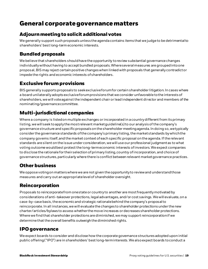# **General corporate governance matters**

#### **Adjourn meeting to solicit additional votes**

We generally support such proposals unless the agenda contains items that we judge to be detrimental to shareholders' best long-term economic interests.

#### **Bundled proposals**

We believe that shareholders should have the opportunity to review substantial governance changes individually without having to accept bundled proposals. Where several measures are grouped into one proposal, BIS may reject certain positive changes when linked with proposals that generally contradict or impede the rights and economic interests of shareholders.

#### **Exclusive forum provisions**

BIS generally supports proposals to seek exclusive forum for certain shareholder litigation. In cases where a board unilaterally adopts exclusive forum provisions that we consider unfavorable to the interests of shareholders, we will vote against the independent chair or lead independent director and members of the nominating/governance committee.

#### **Multi-jurisdictional companies**

Where a company is listed on multiple exchanges or incorporated in a country different from its primary listing, we will seek to apply the most relevant market guideline(s) to our analysis of the company's governance structure and specific proposals on the shareholder meeting agenda. In doing so, we typically consider the governance standards of the company's primary listing, the market standards by which the company governs itself, and the market context of each specific proposal on the agenda. If the relevant standards are silent on the issue under consideration, we will use our professional judgment as to what voting outcome would best protect the long-term economic interests of investors. We expect companies to disclose the rationale for their selection of primary listing, country of incorporation, and choice of governance structures, particularly where there is conflict between relevant market governance practices.

#### **Other business**

We oppose voting on matters where we are not given the opportunity to review and understand those measures and carry out an appropriate level of shareholder oversight.

#### **Reincorporation**

Proposals to reincorporate from one state or country to another are most frequently motivated by considerations of anti-takeover protections, legal advantages, and/or cost savings. We will evaluate, on a case-by-case basis, the economic and strategic rationale behind the company's proposal to reincorporate. In all instances, we will evaluate the changes to shareholder protections under the new charter/articles/bylaws to assess whether the move increases or decreases shareholder protections. Where we find that shareholder protections are diminished, we may support reincorporation if we determine that the overall benefits outweigh the diminished rights.

#### **IPO governance**

We expect boards to consider and disclose how the corporate governance structures adopted upon initial public offering ("IPO") are in shareholders' best long-term interests. We also expect boards to conduct a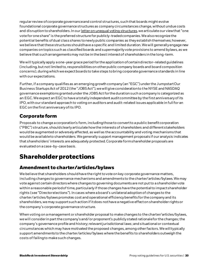regular review of corporate governance and control structures, such that boards might evolve foundational corporate governance structures as company circumstances change, without undue costs and disruption to shareholders. In ou[r letter on unequal voting structures](https://www.blackrock.com/corporate/literature/publication/open-letter-treatment-of-unequal-voting-structures-msci-equity-indexes-041918.pdf), we articulate our view that "one vote for one share" is the preferred structure for publicly-traded companies. We also recognize the potential benefits of dual class shares to newly public companies as they establish themselves; however, we believe that these structures should have a specific and limited duration. We will generally engage new companies on topics such as classified boards and supermajority vote provisions to amend bylaws, as we believe that such arrangements may not be in the best interest of shareholders in the long-term.

We will typically apply a one-year grace period for the application of certain director-related guidelines (including, but not limited to, responsibilities on other public company boards and board composition concerns), during which we expect boards to take steps to bring corporate governance standards in line with our expectations.

Further, if a company qualifies as an emerging growth company (an "EGC") under the Jumpstart Our Business Startups Act of 2012 (the "JOBS Act"), we will give consideration to the NYSE and NASDAQ governance exemptions granted under the JOBS Act for the duration such a company is categorized as an EGC. We expect an EGC to have a totally independent audit committee by the first anniversary of its IPO, with our standard approach to voting on auditors and audit-related issues applicable in full for an EGC on the first anniversary of its IPO.

#### **Corporate form**

Proposals to change a corporation's form, including those to convert to a public benefit corporation  $("PBC")$  structure, should clearly articulate how the interests of shareholders and different stakeholders would be augmented or adversely affected, as well as the accountabilityand voting mechanisms that would be available to shareholders. We generally support management proposals if our analysis indicates that shareholders' interests are adequately protected. Corporate form shareholder proposals are evaluated on a case-by-case basis.

# **Shareholder protections**

#### **Amendment to charter/articles/bylaws**

We believe that shareholders should have the right to vote on key corporate governance matters, including changes to governance mechanisms and amendments to the charter/articles/bylaws. We may vote against certain directors where changes to governing documents are not put to a shareholder vote within a reasonable period of time, particularly if those changes have the potential to impact shareholder rights (see "Director elections"). In cases where a board's unilateral adoption of changes to the charter/articles/bylaws promotes cost and operational efficiency benefits for the company and its shareholders, we may support such action if it does not have a negative effect on shareholder rights or the company's corporate governance structure.

When voting on a management or shareholder proposal to make changes to the charter/articles/bylaws, we will consider in part the company's and/or proponent's publicly stated rationale for the changes;the company's governance profile and history;relevant jurisdictional laws; and situational or contextual circumstances which may have motivated the proposed changes, among other factors. We will typically support amendments to the charter/articles/bylaws where the benefits to shareholders outweigh the costs of failing to make such changes.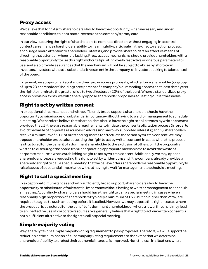#### **Proxy access**

We believe that long-term shareholders should have the opportunity, when necessary and under reasonable conditions, to nominate directors on the company's proxy card.

In our view, securing the right of shareholders to nominate directors without engaging in a control contest can enhance shareholders' ability to meaningfully participate in the director election process, encourage board attention to shareholder interests, and provide shareholders an effective means of directing that attention where it is lacking. Proxy access mechanisms should provide shareholders with a reasonable opportunity to use this right without stipulating overly restrictive or onerous parameters for use, and also provide assurances that the mechanism will not be subject to abuse by short-term investors, investors without a substantial investment in the company, or investors seeking to take control of the board.

In general, we support market-standardized proxy access proposals, which allow a shareholder (or group of up to 20 shareholders) holding three percent of a company's outstanding shares for at least three years the right to nominate the greater of up to two directors or 20% of the board. Where a standardized proxy access provision exists, we will generally oppose shareholder proposals requesting outlier thresholds.

#### **Right to act by written consent**

In exceptional circumstances and with sufficiently broad support, shareholders should have the opportunity to raise issues of substantial importance without having to wait for management to schedule a meeting. We therefore believe that shareholders should have the right to solicit votes by written consent provided that: 1) there are reasonable requirements to initiate the consent solicitation process (in order to avoid the waste of corporate resources in addressing narrowly supported interests); and 2) shareholders receive a minimum of 50% of outstanding shares to effectuate the action by written consent. We may oppose shareholder proposals requesting the right to act by written consent in cases where the proposal is structured for the benefit of a dominant shareholder to the exclusion of others, or if the proposal is written to discourage the board from incorporating appropriate mechanisms to avoid the waste of corporate resources when establishing a right to act by written consent. Additionally, we may oppose shareholder proposals requesting the right to act by written consent if the company already provides a shareholder right to call a special meeting that we believe offers shareholders a reasonable opportunity to raise issues of substantial importance without having to wait for management to schedule a meeting.

#### **Right to call a special meeting**

In exceptional circumstances and with sufficiently broad support, shareholders should have the opportunity to raise issues of substantial importance without having to wait for management to schedule a meeting. Accordingly, shareholders should have the right to call a special meeting in cases where a reasonably high proportion of shareholders (typically a minimum of 15% but no higher than 25%) are required to agree to such a meeting before it is called. However, we may oppose this right in cases where the proposal is structured for the benefit of a dominant shareholder, or where a lower threshold may lead to an ineffective use of corporate resources. We generally believe that a right to act via written consent is not a sufficient alternative to the right to call a special meeting.

#### **Simple majority voting**

We generally favor a simple majority voting requirement to pass proposals. Therefore, we will support the reduction or the elimination of supermajority voting requirements to the extent that we determine shareholders' ability to protect their economic interests is improved. Nonetheless, in situations where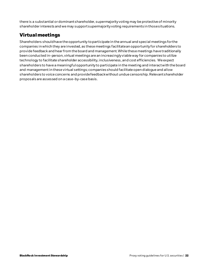there is a substantial or dominant shareholder, supermajority voting may be protective of minority shareholder interests and we may support supermajority voting requirements in those situations.

#### **Virtual meetings**

Shareholders should have the opportunity to participate in the annual and special meetings for the companies in which they are invested, as these meetings facilitate an opportunity for shareholders to provide feedback and hear from the board and management. While these meetings have traditionally been conducted in-person, virtual meetings are an increasingly viable way for companies to utilize technology to facilitate shareholder accessibility, inclusiveness, and cost efficiencies. We expect shareholders to have a meaningful opportunity to participate in the meeting and interact with the board and management in these virtual settings; companies should facilitate open dialogue and allow shareholders to voice concerns and provide feedback without undue censorship. Relevant shareholder proposals are assessed on a case-by-case basis.